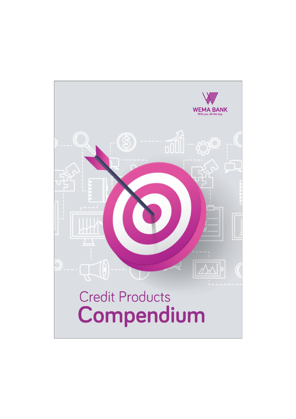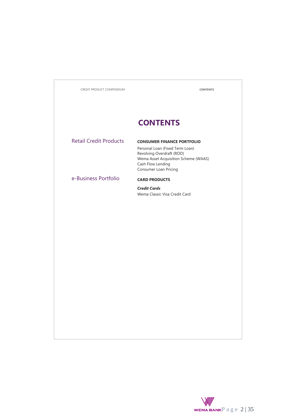| CREDIT PRODUCT COMPENDIUM     | <b>CONTENTS</b>                                                                                                                                                                         |
|-------------------------------|-----------------------------------------------------------------------------------------------------------------------------------------------------------------------------------------|
|                               |                                                                                                                                                                                         |
|                               | <b>CONTENTS</b>                                                                                                                                                                         |
| <b>Retail Credit Products</b> | <b>CONSUMER FINANCE PORTFOLIO</b><br>Personal Loan (Fixed Term Loan)<br>Revolving Overdraft (ROD)<br>Wema Asset Acquisition Scheme (WAAS)<br>Cash Flow Lending<br>Consumer Loan Pricing |
| e-Business Portfolio          | <b>CARD PRODUCTS</b>                                                                                                                                                                    |
|                               | <b>Credit Cards</b><br>Wema Classic Visa Credit Card                                                                                                                                    |
|                               |                                                                                                                                                                                         |
|                               |                                                                                                                                                                                         |
|                               |                                                                                                                                                                                         |
|                               |                                                                                                                                                                                         |
|                               |                                                                                                                                                                                         |
|                               |                                                                                                                                                                                         |
|                               |                                                                                                                                                                                         |
|                               |                                                                                                                                                                                         |
|                               |                                                                                                                                                                                         |
|                               |                                                                                                                                                                                         |
|                               |                                                                                                                                                                                         |
|                               |                                                                                                                                                                                         |

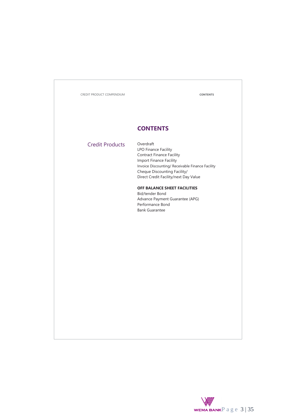CREDIT PRODUCT COMPENDIUM **CONTENTS**

### **CONTENTS**

### Credit Products Overdraft

LPO Finance Facility Contract Finance Facility Import Finance Facility Invoice Discounting/ Receivable Finance Facility Cheque Discounting Facility/ Direct Credit Facility/next Day Value

### **OFF BALANCE SHEET FACILITIES**

Bid/tender Bond Advance Payment Guarantee (APG) Performance Bond Bank Guarantee

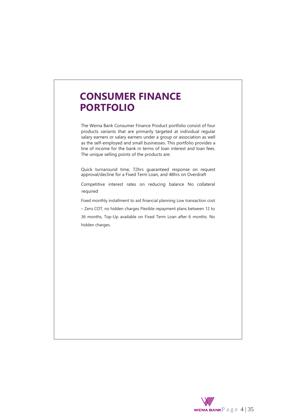# **CONSUMER FINANCE PORTFOLIO**

The Wema Bank Consumer Finance Product portfolio consist of four products variants that are primarily targeted at individual regular salary earners or salary earners under a group or association as well as the self-employed and small businesses. This portfolio provides a line of income for the bank in terms of loan interest and loan fees. The unique selling points of the products are:

Quick turnaround time, 72hrs guaranteed response on request approval/decline for a Fixed Term Loan, and 48hrs on Overdraft

Competitive interest rates on reducing balance No collateral required

Fixed monthly installment to aid financial planning Low transaction cost

– Zero COT, no hidden charges Flexible repayment plans between 12 to 36 months, Top-Up available on Fixed Term Loan after 6 months. No hidden charges.

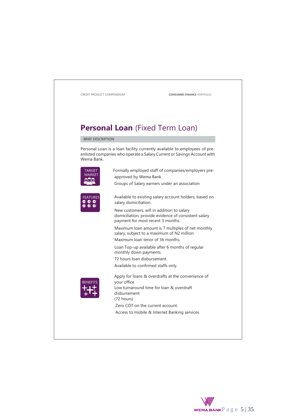

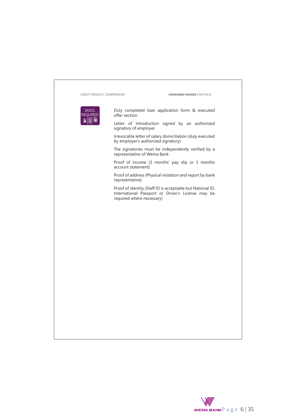| CREDIT PRODUCT COMPENDIUM | <b>CONSUMER FINANCE PORTFOLIO</b>                                                                                                            |
|---------------------------|----------------------------------------------------------------------------------------------------------------------------------------------|
| DOCS.<br><b>REQUIRED</b>  | Duly completed loan application form & executed<br>offer section                                                                             |
|                           | Letter of Introduction signed by an authorized<br>signatory of employer                                                                      |
|                           | Irrevocable letter of salary domiciliation (duly executed<br>by employer's authorized signatory)                                             |
|                           | The signatories must be independently verified by a<br>representative of Wema Bank                                                           |
|                           | Proof of income (3 months' pay slip or 3 months<br>account statement)                                                                        |
|                           | Proof of address (Physical visitation and report by bank<br>representative)                                                                  |
|                           | Proof of identity (Staff ID is acceptable but National ID,<br>International Passport or Driver's License may be<br>required where necessary) |
|                           |                                                                                                                                              |
|                           |                                                                                                                                              |
|                           |                                                                                                                                              |
|                           |                                                                                                                                              |
|                           |                                                                                                                                              |
|                           |                                                                                                                                              |
|                           |                                                                                                                                              |
|                           |                                                                                                                                              |
|                           |                                                                                                                                              |
|                           |                                                                                                                                              |
|                           |                                                                                                                                              |

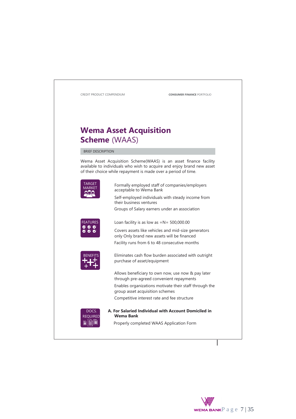

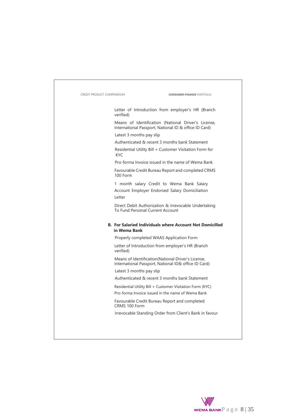| <b>CREDIT PRODUCT COMPENDIUM</b> | <b>CONSUMER FINANCE PORTFOLIO</b>                                                                            |
|----------------------------------|--------------------------------------------------------------------------------------------------------------|
|                                  | Letter of Introduction from employer's HR (Branch<br>verified)                                               |
|                                  | Means of Identification (National Driver's License,<br>International Passport, National ID & office ID Card) |
|                                  | Latest 3 months pay slip                                                                                     |
|                                  | Authenticated & recent 3 months bank Statement                                                               |
|                                  | Residential Utility Bill + Customer Visitation Form for<br>KYC.                                              |
|                                  | Pro-forma Invoice issued in the name of Wema Bank                                                            |
|                                  | Favourable Credit Bureau Report and completed CRMS<br>$100$ Form                                             |
|                                  | 1 month salary Credit to Wema Bank Salary                                                                    |
|                                  | Account Employer Endorsed Salary Domiciliation<br>Letter                                                     |
|                                  |                                                                                                              |
|                                  | Direct Debit Authorization & Irrevocable Undertaking<br>To Fund Personal Current Account                     |
|                                  | <b>B. For Salaried Individuals where Account Not Domicilled</b><br>in Wema Bank                              |
|                                  | Properly completed WAAS Application Form                                                                     |
|                                  | Letter of Introduction from employer's HR (Branch<br>verified)                                               |
|                                  | Means of Identification (National Driver's License,<br>International Passport, National ID& office ID Card)  |
|                                  | Latest 3 months pay slip                                                                                     |
|                                  | Authenticated & recent 3 months bank Statement                                                               |
|                                  | Residential Utility Bill + Customer Visitation Form (KYC)                                                    |
|                                  | Pro-forma Invoice issued in the name of Wema Bank                                                            |
|                                  | Favourable Credit Bureau Report and completed<br>CRMS 100 Form                                               |

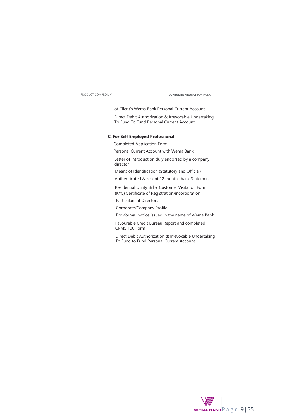| PRODUCT COMPEDIUM | <b>CONSUMER FINANCE PORTFOLIO</b>                                                                      |
|-------------------|--------------------------------------------------------------------------------------------------------|
|                   | of Client's Wema Bank Personal Current Account                                                         |
|                   | Direct Debit Authorization & Irrevocable Undertaking<br>To Fund To Fund Personal Current Account.      |
|                   | <b>C. For Self Employed Professional</b>                                                               |
|                   | Completed Application Form                                                                             |
|                   | Personal Current Account with Wema Bank                                                                |
|                   | Letter of Introduction duly endorsed by a company<br>director                                          |
|                   | Means of Identification (Statutory and Official)                                                       |
|                   | Authenticated & recent 12 months bank Statement                                                        |
|                   | Residential Utility Bill + Customer Visitation Form<br>(KYC) Certificate of Registration/incorporation |
|                   | <b>Particulars of Directors</b>                                                                        |
|                   | Corporate/Company Profile                                                                              |
|                   | Pro-forma Invoice issued in the name of Wema Bank                                                      |
|                   | Favourable Credit Bureau Report and completed<br>CRMS 100 Form                                         |
|                   | Direct Debit Authorization & Irrevocable Undertaking<br>To Fund to Fund Personal Current Account       |
|                   |                                                                                                        |
|                   |                                                                                                        |
|                   |                                                                                                        |
|                   |                                                                                                        |
|                   |                                                                                                        |
|                   |                                                                                                        |
|                   |                                                                                                        |
|                   |                                                                                                        |
|                   |                                                                                                        |
|                   |                                                                                                        |
|                   |                                                                                                        |
|                   |                                                                                                        |

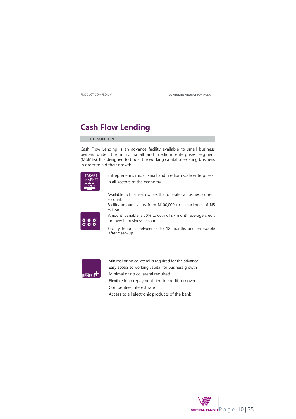

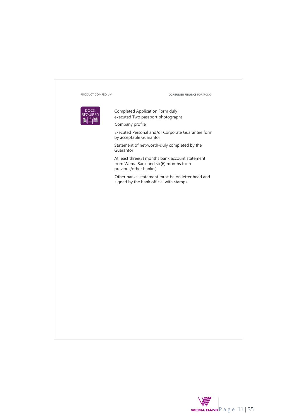

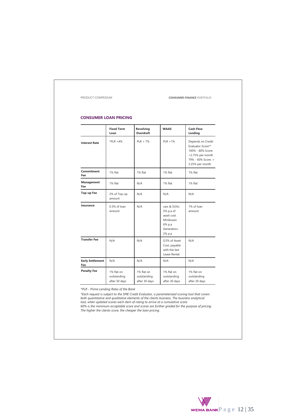PRODUCT COMPEDIUM **CONSUMER FINANCE** PORTFOLIO

### **CONSUMER LOAN PRICING**

|                                | <b>Fixed Term</b><br>Loan                  | Revolving<br>Overdraft                     | <b>WAAS</b>                                                                              | <b>Cash Flow</b><br>Lending                                                                                                |
|--------------------------------|--------------------------------------------|--------------------------------------------|------------------------------------------------------------------------------------------|----------------------------------------------------------------------------------------------------------------------------|
| <b>Interest Rate</b>           | $*PIR + 4%$                                | $PLR + 7%$                                 | $PLR + 1%$                                                                               | Depends on Credit<br>Evaluator Score**<br>100% - 80% Score:<br>$=2.75%$ per month<br>79% - 60% Score: =<br>3.25% per month |
| Commitment<br>Fee              | 1% flat                                    | 1% flat                                    | 1% flat                                                                                  | 1% flat                                                                                                                    |
| <b>Management</b><br>Fee       | 1% flat                                    | N/A                                        | 1% flat                                                                                  | 1% flat                                                                                                                    |
| Top-up Fee                     | 2% of Top-up<br>amount                     | N/A                                        | N/A                                                                                      | N/A                                                                                                                        |
| Insurance                      | 0.3% of loan<br>amount                     | N/A                                        | cars & SUVs:<br>5% p.a of<br>asset cost<br>Minibuses:<br>6% p.a<br>Generators:<br>2% p.a | 1% of loan<br>amount                                                                                                       |
| <b>Transfer Fee</b>            | N/A                                        | N/A                                        | 0.5% of Asset<br>Cost, payable<br>with the last<br>Lease Rental                          | N/A                                                                                                                        |
| <b>Early Settlement</b><br>Fee | N/A                                        | N/A                                        | N/A                                                                                      | N/A                                                                                                                        |
| <b>Penalty Fee</b>             | 1% flat on<br>outstanding<br>after 30 days | 1% flat on<br>outstanding<br>after 30 days | 1% flat on<br>outstanding<br>after 30 days                                               | 1% flat on<br>outstanding<br>after 30 days                                                                                 |

*\*PLR - Prime Lending Ratio of the Bank*

\*Each request is subject to the SME Credit Evaluator, a parameterized scoring tool that covers<br>both quantitative and qualitative elements of the clients business. The business analytical<br>tool, when updated scores each item *60% is the minimum acceptable score and scores are further graded for the purpose of pricing. The higher the clients score, the cheaper the loan pricing.*

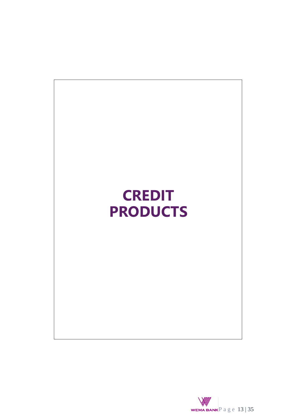

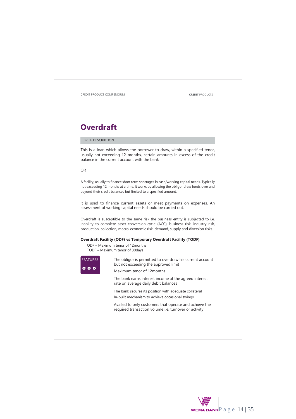

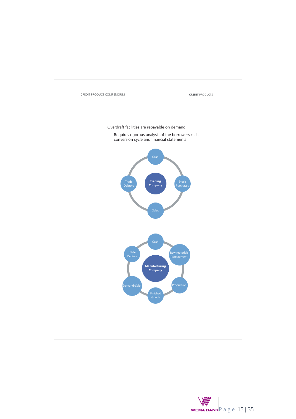

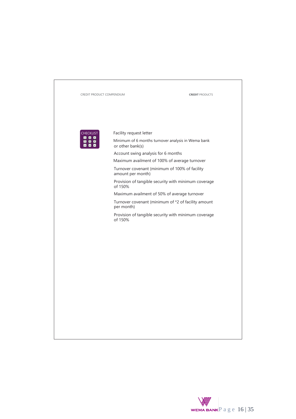

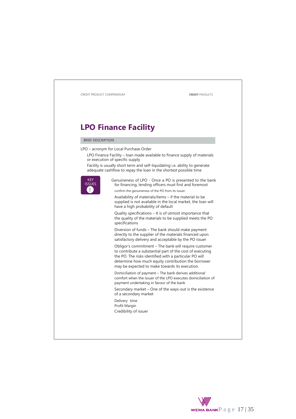

### **LPO Finance Facility**

### BRIEF DESCRIPTION

LPO – acronym for Local Purchase Order

LPO Finance Facility – loan made available to finance supply of materials or execution of specific supply

Facility is usually short term and self-liquidating i.e. ability to generate adequate cashflow to repay the loan in the shortest possible time



Genuineness of LPO - Once a PO is presented to the bank for financing, lending officers must first and foremost confirm the genuineness of the PO from its issuer.

Availability of materials/items – if the material to be supplied is not available in the local market, the loan will have a high probability of default

Quality specifications – It is of utmost importance that the quality of the materials to be supplied meets the PO specifications

Diversion of funds – The bank should make payment directly to the supplier of the materials financed upon satisfactory delivery and acceptable by the PO issuer

Obligor's commitment – The bank will require customer to contribute a substantial part of the cost of executing the PO. The risks identified with a particular PO will determine how much equity contribution the borrower may be expected to make towards its execution.

Domiciliation of payment – The bank derives additional comfort when the issuer of the LPO executes domiciliation of payment undertaking in favour of the bank

Secondary market – One of the ways-out is the existence of a secondary market

Delivery time Profit Margin Credibility of issuer

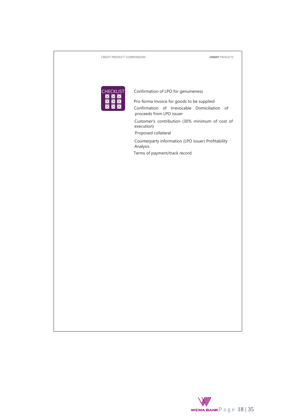| CREDIT PRODUCT COMPENDIUM |                                                                                                                        | <b>CREDIT PRODUCTS</b> |
|---------------------------|------------------------------------------------------------------------------------------------------------------------|------------------------|
|                           |                                                                                                                        |                        |
|                           |                                                                                                                        |                        |
| <b>CHECKLIST</b>          | Confirmation of LPO for genuineness                                                                                    |                        |
| Х                         | Pro-forma Invoice for goods to be supplied<br>Confirmation of Irrevocable Domiciliation of<br>proceeds from LPO issuer |                        |
|                           | Customer's contribution (30% minimum of cost of<br>execution)<br>Proposed collateral                                   |                        |
|                           | Counterparty information (LPO issuer) Profitability<br>Analysis                                                        |                        |
|                           | Terms of payment/track record                                                                                          |                        |
|                           |                                                                                                                        |                        |
|                           |                                                                                                                        |                        |
|                           |                                                                                                                        |                        |
|                           |                                                                                                                        |                        |
|                           |                                                                                                                        |                        |
|                           |                                                                                                                        |                        |
|                           |                                                                                                                        |                        |
|                           |                                                                                                                        |                        |
|                           |                                                                                                                        |                        |
|                           |                                                                                                                        |                        |
|                           |                                                                                                                        |                        |
|                           |                                                                                                                        |                        |
|                           |                                                                                                                        |                        |
|                           |                                                                                                                        |                        |
|                           |                                                                                                                        |                        |
|                           |                                                                                                                        |                        |

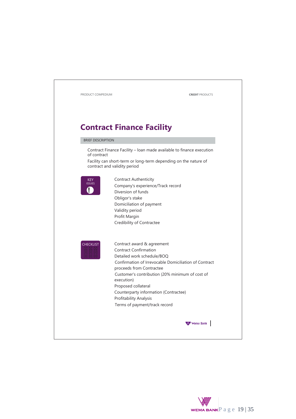

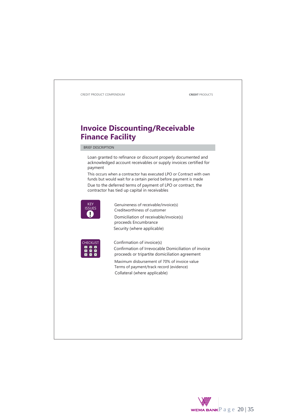

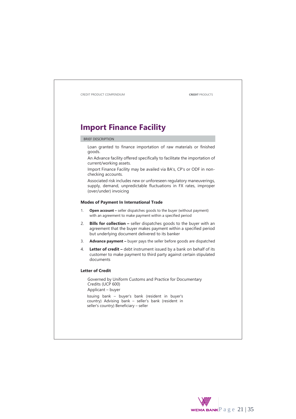CREDIT PRODUCT COMPENDIUM **CREDIT** PRODUCTS **Import Finance Facility** BRIEF DESCRIPTION Loan granted to finance importation of raw materials or finished goods. An Advance facility offered specifically to facilitate the importation of current/working assets. Import Finance Facility may be availed via BA's, CP's or ODF in nonchecking accounts. Associated risk includes new or unforeseen regulatory maneuverings, supply, demand, unpredictable fluctuations in FX rates, improper (over/under) invoicing **Modes of Payment In International Trade** 1. **Open account –** seller dispatches goods to the buyer (without payment) with an agreement to make payment within a specified period 2. **Bills for collection –** seller dispatches goods to the buyer with an agreement that the buyer makes payment within a specified period but underlying document delivered to its banker 3. **Advance payment –** buyer pays the seller before goods are dispatched 4. **Letter of credit –** debt instrument issued by a bank on behalf of its customer to make payment to third party against certain stipulated documents **Letter of Credit** Governed by Uniform Customs and Practice for Documentary Credits (UCP 600) Applicant – buyer Issuing bank – buyer's bank (resident in buyer's country) Advising bank – seller's bank (resident in seller's country) Beneficiary – seller

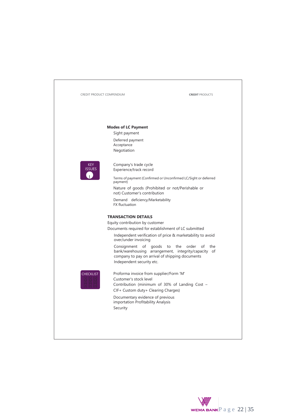| CREDIT PRODUCT COMPENDIUM   |                                                                                                                                                                                                 | <b>CREDIT PRODUCTS</b>                                                                                                                                                                                           |
|-----------------------------|-------------------------------------------------------------------------------------------------------------------------------------------------------------------------------------------------|------------------------------------------------------------------------------------------------------------------------------------------------------------------------------------------------------------------|
|                             | <b>Modes of LC Payment</b><br>Sight payment<br>Deferred payment<br>Acceptance<br>Negotiation                                                                                                    |                                                                                                                                                                                                                  |
| <b>KEY</b><br><b>ISSUES</b> | Company's trade cycle<br>Experience/track record<br>payment)<br>not) Customer's contribution<br>Demand deficiency/Marketability<br><b>FX</b> fluctuation                                        | Terms of payment (Confirmed or Unconfirmed LC/Sight or deferred<br>Nature of goods (Prohibited or not/Perishable or                                                                                              |
|                             | <b>TRANSACTION DETAILS</b><br>Equity contribution by customer<br>Documents required for establishment of LC submitted<br>over/under invoicing<br>Consignment<br>of<br>Independent security etc. | Independent verification of price & marketability to avoid<br>goods<br>to<br>the<br>order<br>of<br>the<br>bank/warehousing arrangement, integrity/capacity of<br>company to pay on arrival of shipping documents |
| <b>CHECKLIST</b>            | Proforma invoice from supplier/Form 'M'<br>Customer's stock level<br>CIF+ Custom duty+ Clearing Charges)<br>Documentary evidence of previous<br>importation Profitability Analysis<br>Security  | Contribution (minimum of 30% of Landing Cost $-$                                                                                                                                                                 |

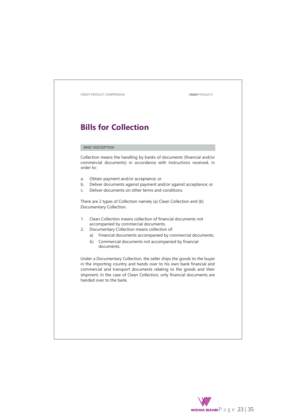# **Bills for Collection**

### BRIEF DESCRIPTION

Collection means the handling by banks of documents (financial and/or commercial documents) in accordance with instructions received, in order to:

- a. Obtain payment and/or acceptance; or
- b. Deliver documents against payment and/or against acceptance; or
- c. Deliver documents on other terms and conditions.

There are 2 types of Collection namely (a) Clean Collection and (b) Documentary Collection.

- 1. Clean Collection means collection of financial documents not accompanied by commercial documents.
- 2. Documentary Collection means collection of:
	- a) Financial documents accompanied by commercial documents;
	- b) Commercial documents not accompanied by financial documents.

Under a Documentary Collection, the seller ships the goods to the buyer in the importing country and hands over to his own bank financial and commercial and transport documents relating to the goods and their shipment. In the case of Clean Collection, only financial documents are handed over to the bank.

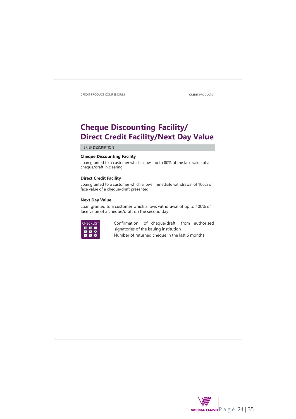## **Cheque Discounting Facility/ Direct Credit Facility/Next Day Value**

BRIEF DESCRIPTION

### **Cheque Discounting Facility**

Loan granted to a customer which allows up to 80% of the face value of a cheque/draft in clearing

### **Direct Credit Facility**

Loan granted to a customer which allows immediate withdrawal of 100% of face value of a cheque/draft presented

### **Next Day Value**

Loan granted to a customer which allows withdrawal of up to 100% of face value of a cheque/draft on the second day



CHECKLIST Confirmation of cheque/draft from authorised<br>  $\begin{array}{c}\n\hline\n\times\mathbb{R} \\
\hline\n\times\mathbb{R} \\
\hline\n\end{array}$  Signatories of the issuing institution<br>  $\begin{array}{c}\n\hline\n\times\mathbb{R} \\
\hline\n\end{array}$  Signatories of the issuing institution signatories of the issuing institution Number of returned cheque in the last 6 months

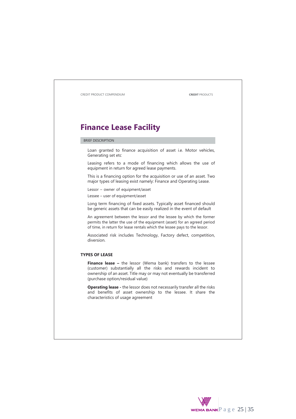# **Finance Lease Facility**

### BRIEF DESCRIPTION

Loan granted to finance acquisition of asset i.e. Motor vehicles, Generating set etc

Leasing refers to a mode of financing which allows the use of equipment in return for agreed lease payments.

This is a financing option for the acquisition or use of an asset. Two major types of leasing exist namely: Finance and Operating Lease.

Lessor – owner of equipment/asset Lessee – user of equipment/asset

Long term financing of fixed assets. Typically asset financed should be generic assets that can be easily realized in the event of default

An agreement between the lessor and the lessee by which the former permits the latter the use of the equipment (asset) for an agreed period of time, in return for lease rentals which the lessee pays to the lessor.

Associated risk includes Technology, Factory defect, competition, diversion.

### **TYPES OF LEASE**

**Finance lease -** the lessor (Wema bank) transfers to the lessee (customer) substantially all the risks and rewards incident to ownership of an asset. Title may or may not eventually be transferred (purchase option/residual value)

**Operating lease -** the lessor does not necessarily transfer all the risks and benefits of asset ownership to the lessee. It share the characteristics of usage agreement

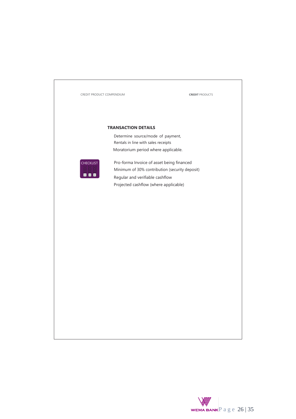

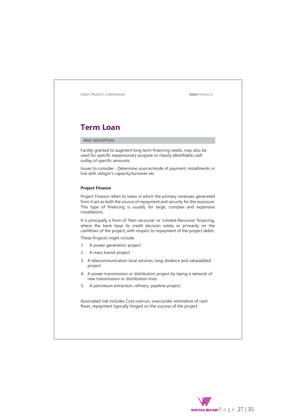

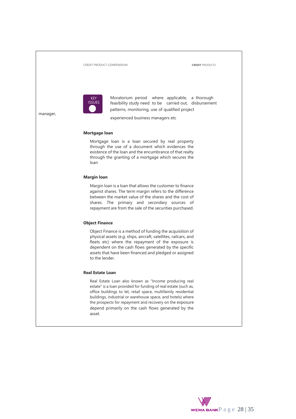

KEY Moratorium period where applicable, a thorough<br>ISSUES feasibility study need to be carried out disbursement feasibility study need to be carried out, disbursement patterns, monitoring, use of qualified project

manager,

experienced business managers etc

### **Mortgage loan**

Mortgage loan is a loan secured by real property through the use of a document which evidences the existence of the loan and the encumbrance of that realty through the granting of a mortgage which secures the loan

### **Margin loan**

Margin loan is a loan that allows the customer to finance against shares. The term margin refers to the difference between the market value of the shares and the cost of shares. The primary and secondary sources of repayment are from the sale of the securities purchased.

### **Object Finance**

Object Finance is a method of funding the acquisition of physical assets (e.g. ships, aircraft, satellites, railcars, and fleets etc) where the repayment of the exposure is dependent on the cash flows generated by the specific assets that have been financed and pledged or assigned to the lender.

### **Real Estate Loan**

Real Estate Loan also known as "Income producing real estate" is a loan provided for funding of real estate (such as, office buildings to let, retail space, multifamily residential buildings, industrial or warehouse space, and hotels) where the prospects for repayment and recovery on the exposure depend primarily on the cash flows generated by the asset.

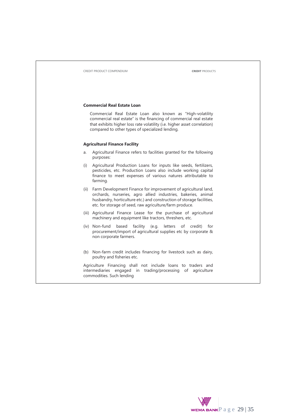#### **Commercial Real Estate Loan**

Commercial Real Estate Loan also known as "High-volatility commercial real estate" is the financing of commercial real estate that exhibits higher loss rate volatility (i.e. higher asset correlation) compared to other types of specialized lending.

### **Agricultural Finance Facility**

- a. Agricultural Finance refers to facilities granted for the following purposes:
- (i) Agricultural Production Loans for inputs like seeds, fertilizers, pesticides, etc. Production Loans also include working capital finance to meet expenses of various natures attributable to farming.
- (ii) Farm Development Finance for improvement of agricultural land, orchards, nurseries, agro allied industries, bakeries, animal husbandry, horticulture etc.) and construction of storage facilities, etc. for storage of seed, raw agriculture/farm produce.
- (iii) Agricultural Finance Lease for the purchase of agricultural machinery and equipment like tractors, threshers, etc.
- (iv) Non-fund based facility (e.g. letters of credit) for procurement/import of agricultural supplies etc by corporate & non corporate farmers.
- (b) Non-farm credit includes financing for livestock such as dairy, poultry and fisheries etc.

Agriculture Financing shall not include loans to traders and intermediaries engaged in trading/processing of agriculture commodities. Such lending

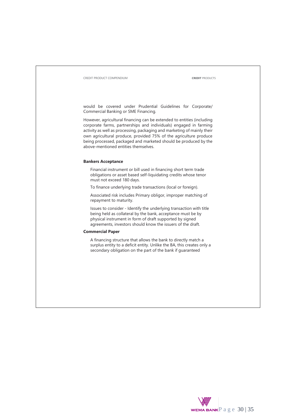would be covered under Prudential Guidelines for Corporate/ Commercial Banking or SME Financing.

However, agricultural financing can be extended to entities (including corporate farms, partnerships and individuals) engaged in farming activity as well as processing, packaging and marketing of mainly their own agricultural produce, provided 75% of the agriculture produce being processed, packaged and marketed should be produced by the above-mentioned entities themselves.

### **Bankers Acceptance**

Financial instrument or bill used in financing short term trade obligations or asset based self-liquidating credits whose tenor must not exceed 180 days.

To finance underlying trade transactions (local or foreign).

Associated risk includes Primary obligor, improper matching of repayment to maturity.

Issues to consider - Identify the underlying transaction with title being held as collateral by the bank, acceptance must be by physical instrument in form of draft supported by signed agreements, investors should know the issuers of the draft.

### **Commercial Paper**

A financing structure that allows the bank to directly match a surplus entity to a deficit entity. Unlike the BA, this creates only a secondary obligation on the part of the bank if guaranteed

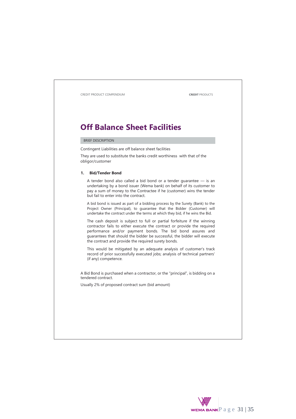## **Off Balance Sheet Facilities**

### BRIEF DESCRIPTION

Contingent Liabilities are off balance sheet facilities

They are used to substitute the banks credit worthiness with that of the obligor/customer

### **1. Bid/Tender Bond**

A tender bond also called a bid bond or a tender guarantee — is an undertaking by a bond issuer (Wema bank) on behalf of its customer to pay a sum of money to the Contractee if he (customer) wins the tender but fail to enter into the contract.

A bid bond is issued as part of a bidding process by the Surety (Bank) to the Project Owner (Principal), to guarantee that the Bidder (Customer) will undertake the contract under the terms at which they bid, if he wins the Bid.

The cash deposit is subject to full or partial forfeiture if the winning contractor fails to either execute the contract or provide the required performance and/or payment bonds. The bid bond assures and guarantees that should the bidder be successful, the bidder will execute the contract and provide the required surety bonds.

This would be mitigated by an adequate analysis of customer's track record of prior successfully executed jobs; analysis of technical partners' (if any) competence.

A Bid Bond is purchased when a contractor, or the "principal", is bidding on a tendered contract.

Usually 2% of proposed contract sum (bid amount)

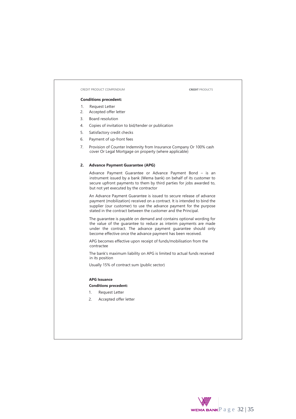### **Conditions precedent:**

- 1. Request Letter
- 2. Accepted offer letter
- 3. Board resolution
- 4. Copies of invitation to bid/tender or publication
- 5. Satisfactory credit checks
- 6. Payment of up-front fees
- 7. Provision of Counter Indemnity from Insurance Company Or 100% cash cover Or Legal Mortgage on property (where applicable)

### **2. Advance Payment Guarantee (APG)**

Advance Payment Guarantee or Advance Payment Bond – is an instrument issued by a bank (Wema bank) on behalf of its customer to secure upfront payments to them by third parties for jobs awarded to, but not yet executed by the contractor

An Advance Payment Guarantee is issued to secure release of advance payment (mobilization) received on a contract. It is intended to bind the supplier (our customer) to use the advance payment for the purpose stated in the contract between the customer and the Principal.

The guarantee is payable on demand and contains optional wording for the value of the guarantee to reduce as interim payments are made under the contract. The advance payment guarantee should only become effective once the advance payment has been received.

APG becomes effective upon receipt of funds/mobilisation from the contractee

The bank's maximum liability on APG is limited to actual funds received in its position

Usually 15% of contract sum (public sector)

### **APG Issuance**

### **Conditions precedent:**

- 1. Request Letter
- 2. Accepted offer letter

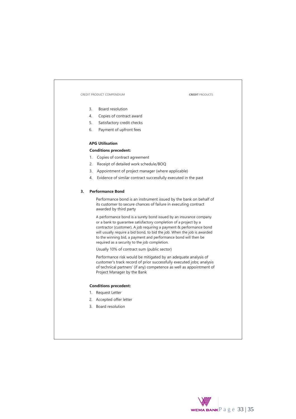- 3. Board resolution
- 4. Copies of contract award
- 5. Satisfactory credit checks
- 6. Payment of upfront fees

### **APG Utilisation**

### **Conditions precedent:**

- 1. Copies of contract agreement
- 2. Receipt of detailed work schedule/BOQ
- 3. Appointment of project manager (where applicable)
- 4. Evidence of similar contract successfully executed in the past

### **3. Performance Bond**

Performance bond is an instrument issued by the bank on behalf of its customer to secure chances of failure in executing contract awarded by third party

A performance bond is a surety bond issued by an insurance company or a bank to guarantee satisfactory completion of a project by a contractor (customer). A job requiring a payment & performance bond will usually require a bid bond, to bid the job. When the job is awarded to the winning bid, a payment and performance bond will then be required as a security to the job completion.

Usually 10% of contract sum (public sector)

Performance risk would be mitigated by an adequate analysis of customer's track record of prior successfully executed jobs; analysis of technical partners' (if any) competence as well as appointment of Project Manager by the Bank

### **Conditions precedent:**

- 1. Request Letter
- 2. Accepted offer letter
- 3. Board resolution

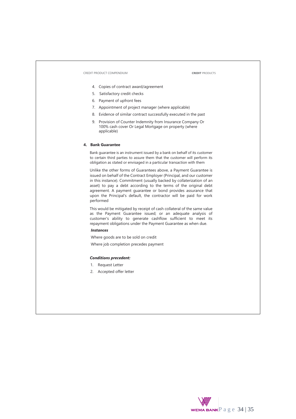- 4. Copies of contract award/agreement
- 5. Satisfactory credit checks
- 6. Payment of upfront fees
- 7. Appointment of project manager (where applicable)
- 8. Evidence of similar contract successfully executed in the past
- 9. Provision of Counter Indemnity from Insurance Company Or 100% cash cover Or Legal Mortgage on property (where applicable)

### **4. Bank Guarantee**

Bank guarantee is an instrument issued by a bank on behalf of its customer to certain third parties to assure them that the customer will perform its obligation as stated or envisaged in a particular transaction with them

Unlike the other forms of Guarantees above, a Payment Guarantee is issued on behalf of the Contract Employer (Principal, and our customer in this instance). Commitment (usually backed by collaterization of an asset) to pay a debt according to the terms of the original debt agreement. A payment guarantee or bond provides assurance that upon the Principal's default, the contractor will be paid for work performed

This would be mitigated by receipt of cash collateral of the same value as the Payment Guarantee issued; or an adequate analysis of customer's ability to generate cashflow sufficient to meet its repayment obligations under the Payment Guarantee as when due.

### *Instances*

Where goods are to be sold on credit

Where job completion precedes payment

### *Conditions precedent:*

- 1. Request Letter
- 2. Accepted offer letter